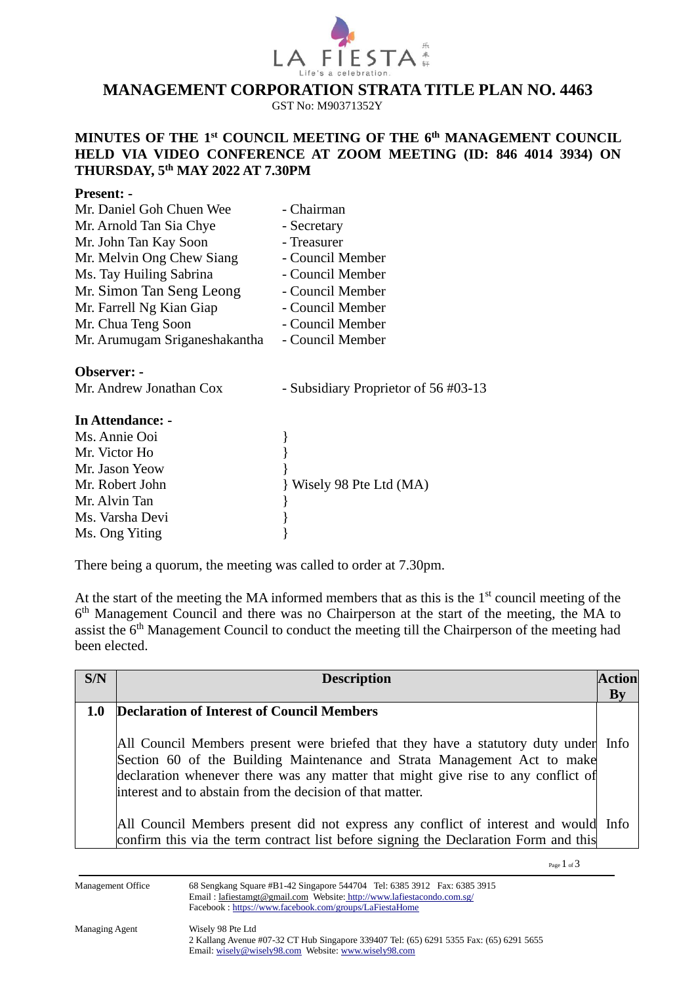

# **MANAGEMENT CORPORATION STRATA TITLE PLAN NO. 4463**

GST No: M90371352Y

### **MINUTES OF THE 1 st COUNCIL MEETING OF THE 6 th MANAGEMENT COUNCIL HELD VIA VIDEO CONFERENCE AT ZOOM MEETING (ID: 846 4014 3934) ON THURSDAY, 5 th MAY 2022 AT 7.30PM**

#### **Present: -**

| Mr. Daniel Goh Chuen Wee      | - Chairman                           |
|-------------------------------|--------------------------------------|
| Mr. Arnold Tan Sia Chye       | - Secretary                          |
| Mr. John Tan Kay Soon         | - Treasurer                          |
| Mr. Melvin Ong Chew Siang     | - Council Member                     |
| Ms. Tay Huiling Sabrina       | - Council Member                     |
| Mr. Simon Tan Seng Leong      | - Council Member                     |
| Mr. Farrell Ng Kian Giap      | - Council Member                     |
| Mr. Chua Teng Soon            | - Council Member                     |
| Mr. Arumugam Sriganeshakantha | - Council Member                     |
| Observer: -                   |                                      |
| Mr. Andrew Jonathan Cox       | - Subsidiary Proprietor of 56 #03-13 |
| In Attendance: -              |                                      |
| Ms. Annie Ooi                 |                                      |
| Mr. Victor Ho                 |                                      |
| Mr. Jason Yeow                |                                      |

There being a quorum, the meeting was called to order at 7.30pm.

Mr. Robert John } Wisely 98 Pte Ltd (MA)

Mr. Alvin Tan  $\}$ Ms. Varsha Devi }

Ms. Ong Yiting }

At the start of the meeting the MA informed members that as this is the  $1<sup>st</sup>$  council meeting of the 6<sup>th</sup> Management Council and there was no Chairperson at the start of the meeting, the MA to assist the 6<sup>th</sup> Management Council to conduct the meeting till the Chairperson of the meeting had been elected.

| S/N              | <b>Description</b>                                                                                                                                                                                                                                                                                                 | <b>Action</b> |
|------------------|--------------------------------------------------------------------------------------------------------------------------------------------------------------------------------------------------------------------------------------------------------------------------------------------------------------------|---------------|
|                  |                                                                                                                                                                                                                                                                                                                    | By            |
| 1.0 <sub>l</sub> | <b>Declaration of Interest of Council Members</b>                                                                                                                                                                                                                                                                  |               |
|                  | All Council Members present were briefed that they have a statutory duty under Info<br>Section 60 of the Building Maintenance and Strata Management Act to make<br>declaration whenever there was any matter that might give rise to any conflict of<br>linterest and to abstain from the decision of that matter. |               |
|                  | All Council Members present did not express any conflict of interest and would Info<br>confirm this via the term contract list before signing the Declaration Form and this                                                                                                                                        |               |

Page 1 of 3

Management Office 68 Sengkang Square #B1-42 Singapore 544704 Tel: 6385 3912 Fax: 6385 3915 Email [: lafiestamgt@gmail.com](mailto:lafiestamgt@gmail.com) Website: [http://www.lafiestacondo.com.sg/](http://www.butterworth8.sg/) Facebook :<https://www.facebook.com/groups/LaFiestaHome>

2 Kallang Avenue #07-32 CT Hub Singapore 339407 Tel: (65) 6291 5355 Fax: (65) 6291 5655 Email[: wisely@wisely98.com](mailto:wisely@wisely98.com) Website[: www.wisely98.com](http://www.wisely98.com.sg/)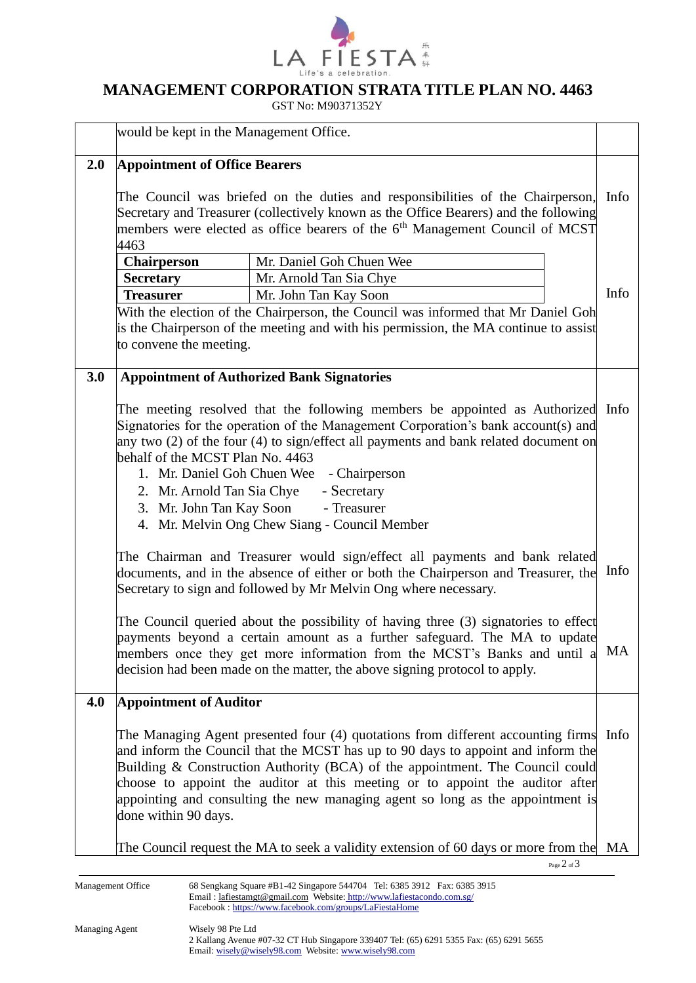

### **MANAGEMENT CORPORATION STRATA TITLE PLAN NO. 4463**

GST No: M90371352Y

|     | would be kept in the Management Office.                                                                                                                                                                                                                                                                                                                                                                                               |                                                                                                                                                                                                                                                                                                                                                                                                                               |                 |      |
|-----|---------------------------------------------------------------------------------------------------------------------------------------------------------------------------------------------------------------------------------------------------------------------------------------------------------------------------------------------------------------------------------------------------------------------------------------|-------------------------------------------------------------------------------------------------------------------------------------------------------------------------------------------------------------------------------------------------------------------------------------------------------------------------------------------------------------------------------------------------------------------------------|-----------------|------|
| 2.0 | <b>Appointment of Office Bearers</b>                                                                                                                                                                                                                                                                                                                                                                                                  |                                                                                                                                                                                                                                                                                                                                                                                                                               |                 |      |
|     | The Council was briefed on the duties and responsibilities of the Chairperson,<br>Secretary and Treasurer (collectively known as the Office Bearers) and the following<br>members were elected as office bearers of the 6 <sup>th</sup> Management Council of MCST<br>4463                                                                                                                                                            |                                                                                                                                                                                                                                                                                                                                                                                                                               |                 | Info |
|     | Mr. Daniel Goh Chuen Wee<br><b>Chairperson</b>                                                                                                                                                                                                                                                                                                                                                                                        |                                                                                                                                                                                                                                                                                                                                                                                                                               |                 |      |
|     | <b>Secretary</b>                                                                                                                                                                                                                                                                                                                                                                                                                      | Mr. Arnold Tan Sia Chye                                                                                                                                                                                                                                                                                                                                                                                                       |                 |      |
|     | <b>Treasurer</b>                                                                                                                                                                                                                                                                                                                                                                                                                      | Mr. John Tan Kay Soon                                                                                                                                                                                                                                                                                                                                                                                                         |                 | Info |
|     | With the election of the Chairperson, the Council was informed that Mr Daniel Goh<br>is the Chairperson of the meeting and with his permission, the MA continue to assist<br>to convene the meeting.                                                                                                                                                                                                                                  |                                                                                                                                                                                                                                                                                                                                                                                                                               |                 |      |
| 3.0 |                                                                                                                                                                                                                                                                                                                                                                                                                                       | <b>Appointment of Authorized Bank Signatories</b>                                                                                                                                                                                                                                                                                                                                                                             |                 |      |
|     | The meeting resolved that the following members be appointed as Authorized Info<br>Signatories for the operation of the Management Corporation's bank account(s) and<br>any two (2) of the four (4) to sign/effect all payments and bank related document on<br>behalf of the MCST Plan No. 4463<br>1. Mr. Daniel Goh Chuen Wee - Chairperson<br>2. Mr. Arnold Tan Sia Chye<br>- Secretary<br>3. Mr. John Tan Kay Soon<br>- Treasurer |                                                                                                                                                                                                                                                                                                                                                                                                                               |                 |      |
|     | 4. Mr. Melvin Ong Chew Siang - Council Member<br>The Chairman and Treasurer would sign/effect all payments and bank related                                                                                                                                                                                                                                                                                                           |                                                                                                                                                                                                                                                                                                                                                                                                                               |                 |      |
|     | documents, and in the absence of either or both the Chairperson and Treasurer, the<br>Secretary to sign and followed by Mr Melvin Ong where necessary.                                                                                                                                                                                                                                                                                |                                                                                                                                                                                                                                                                                                                                                                                                                               |                 | Info |
|     | The Council queried about the possibility of having three (3) signatories to effect<br>payments beyond a certain amount as a further safeguard. The MA to update<br>members once they get more information from the MCST's Banks and until a<br>decision had been made on the matter, the above signing protocol to apply.                                                                                                            |                                                                                                                                                                                                                                                                                                                                                                                                                               |                 | MA   |
| 4.0 | <b>Appointment of Auditor</b>                                                                                                                                                                                                                                                                                                                                                                                                         |                                                                                                                                                                                                                                                                                                                                                                                                                               |                 |      |
|     | done within 90 days.                                                                                                                                                                                                                                                                                                                                                                                                                  | The Managing Agent presented four (4) quotations from different accounting firms Info<br>and inform the Council that the MCST has up to 90 days to appoint and inform the<br>Building & Construction Authority (BCA) of the appointment. The Council could<br>choose to appoint the auditor at this meeting or to appoint the auditor after<br>appointing and consulting the new managing agent so long as the appointment is |                 |      |
|     |                                                                                                                                                                                                                                                                                                                                                                                                                                       | The Council request the MA to seek a validity extension of 60 days or more from the                                                                                                                                                                                                                                                                                                                                           |                 | MA   |
|     |                                                                                                                                                                                                                                                                                                                                                                                                                                       |                                                                                                                                                                                                                                                                                                                                                                                                                               | Page $2$ of $3$ |      |

Management Office 68 Sengkang Square #B1-42 Singapore 544704 Tel: 6385 3912 Fax: 6385 3915 Email [: lafiestamgt@gmail.com](mailto:lafiestamgt@gmail.com) Website: [http://www.lafiestacondo.com.sg/](http://www.butterworth8.sg/) Facebook :<https://www.facebook.com/groups/LaFiestaHome>

2 Kallang Avenue #07-32 CT Hub Singapore 339407 Tel: (65) 6291 5355 Fax: (65) 6291 5655 Email[: wisely@wisely98.com](mailto:wisely@wisely98.com) Website[: www.wisely98.com](http://www.wisely98.com.sg/)